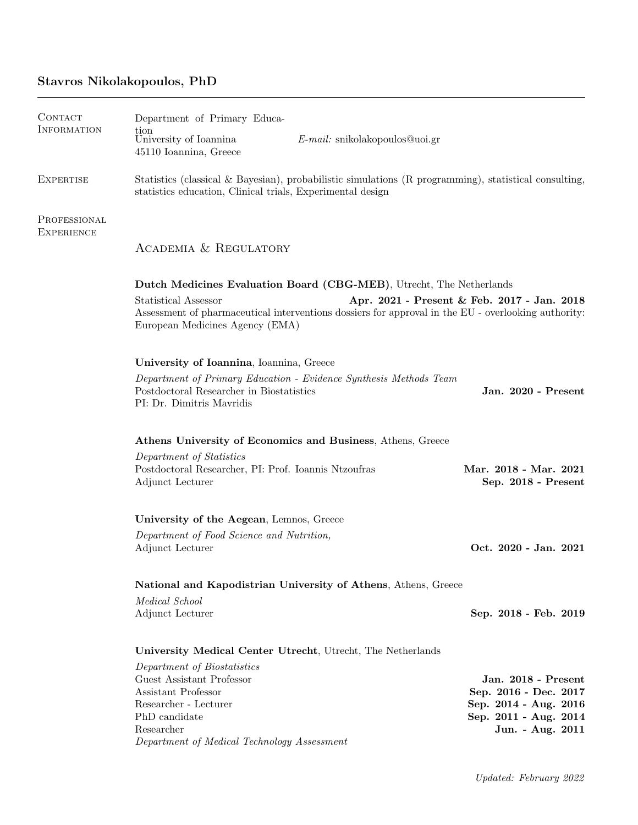# Stavros Nikolakopoulos, PhD

| <b>CONTACT</b><br><b>INFORMATION</b> | Department of Primary Educa-<br>tion<br>University of Ioannina<br>45110 Ioannina, Greece                                                                                                                                                                                              | $E$ -mail: snikolakopoulos@uoi.gr |                                                                                                                    |
|--------------------------------------|---------------------------------------------------------------------------------------------------------------------------------------------------------------------------------------------------------------------------------------------------------------------------------------|-----------------------------------|--------------------------------------------------------------------------------------------------------------------|
| <b>EXPERTISE</b>                     | Statistics (classical & Bayesian), probabilistic simulations (R programming), statistical consulting,<br>statistics education, Clinical trials, Experimental design                                                                                                                   |                                   |                                                                                                                    |
| PROFESSIONAL<br><b>EXPERIENCE</b>    | ACADEMIA & REGULATORY                                                                                                                                                                                                                                                                 |                                   |                                                                                                                    |
|                                      | Dutch Medicines Evaluation Board (CBG-MEB), Utrecht, The Netherlands<br>Statistical Assessor<br>Apr. 2021 - Present & Feb. 2017 - Jan. 2018<br>Assessment of pharmaceutical interventions dossiers for approval in the EU - overlooking authority:<br>European Medicines Agency (EMA) |                                   |                                                                                                                    |
|                                      | University of Ioannina, Ioannina, Greece<br>Department of Primary Education - Evidence Synthesis Methods Team<br>Postdoctoral Researcher in Biostatistics<br>PI: Dr. Dimitris Mavridis                                                                                                |                                   | Jan. 2020 - Present                                                                                                |
|                                      | Athens University of Economics and Business, Athens, Greece<br>Department of Statistics<br>Postdoctoral Researcher, PI: Prof. Ioannis Ntzoufras<br>Adjunct Lecturer                                                                                                                   |                                   | Mar. 2018 - Mar. 2021<br>Sep. 2018 - Present                                                                       |
|                                      | University of the Aegean, Lemnos, Greece<br>Department of Food Science and Nutrition,<br>Adjunct Lecturer<br>National and Kapodistrian University of Athens, Athens, Greece                                                                                                           |                                   | Oct. 2020 - Jan. 2021                                                                                              |
|                                      | Medical School<br>Adjunct Lecturer                                                                                                                                                                                                                                                    |                                   | Sep. 2018 - Feb. 2019                                                                                              |
|                                      | University Medical Center Utrecht, Utrecht, The Netherlands<br>Department of Biostatistics<br>Guest Assistant Professor<br>Assistant Professor<br>Researcher - Lecturer<br>PhD candidate<br>Researcher<br>Department of Medical Technology Assessment                                 |                                   | Jan. 2018 - Present<br>Sep. 2016 - Dec. 2017<br>Sep. 2014 - Aug. 2016<br>Sep. 2011 - Aug. 2014<br>Jun. - Aug. 2011 |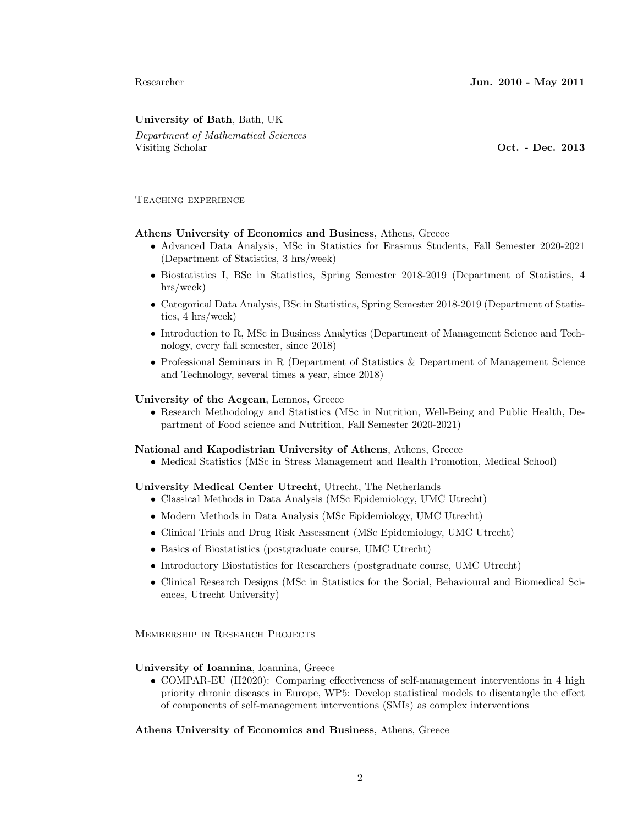## University of Bath, Bath, UK

Department of Mathematical Sciences Visiting Scholar **Oct.** - Dec. 2013

### Teaching experience

## Athens University of Economics and Business, Athens, Greece

- Advanced Data Analysis, MSc in Statistics for Erasmus Students, Fall Semester 2020-2021 (Department of Statistics, 3 hrs/week)
- Biostatistics I, BSc in Statistics, Spring Semester 2018-2019 (Department of Statistics, 4 hrs/week)
- Categorical Data Analysis, BSc in Statistics, Spring Semester 2018-2019 (Department of Statistics, 4 hrs/week)
- Introduction to R, MSc in Business Analytics (Department of Management Science and Technology, every fall semester, since 2018)
- Professional Seminars in R (Department of Statistics & Department of Management Science and Technology, several times a year, since 2018)

#### University of the Aegean, Lemnos, Greece

• Research Methodology and Statistics (MSc in Nutrition, Well-Being and Public Health, Department of Food science and Nutrition, Fall Semester 2020-2021)

#### National and Kapodistrian University of Athens, Athens, Greece

• Medical Statistics (MSc in Stress Management and Health Promotion, Medical School)

#### University Medical Center Utrecht, Utrecht, The Netherlands

- Classical Methods in Data Analysis (MSc Epidemiology, UMC Utrecht)
- Modern Methods in Data Analysis (MSc Epidemiology, UMC Utrecht)
- Clinical Trials and Drug Risk Assessment (MSc Epidemiology, UMC Utrecht)
- Basics of Biostatistics (postgraduate course, UMC Utrecht)
- Introductory Biostatistics for Researchers (postgraduate course, UMC Utrecht)
- Clinical Research Designs (MSc in Statistics for the Social, Behavioural and Biomedical Sciences, Utrecht University)

Membership in Research Projects

#### University of Ioannina, Ioannina, Greece

• COMPAR-EU (H2020): Comparing effectiveness of self-management interventions in 4 high priority chronic diseases in Europe, WP5: Develop statistical models to disentangle the effect of components of self-management interventions (SMIs) as complex interventions

Athens University of Economics and Business, Athens, Greece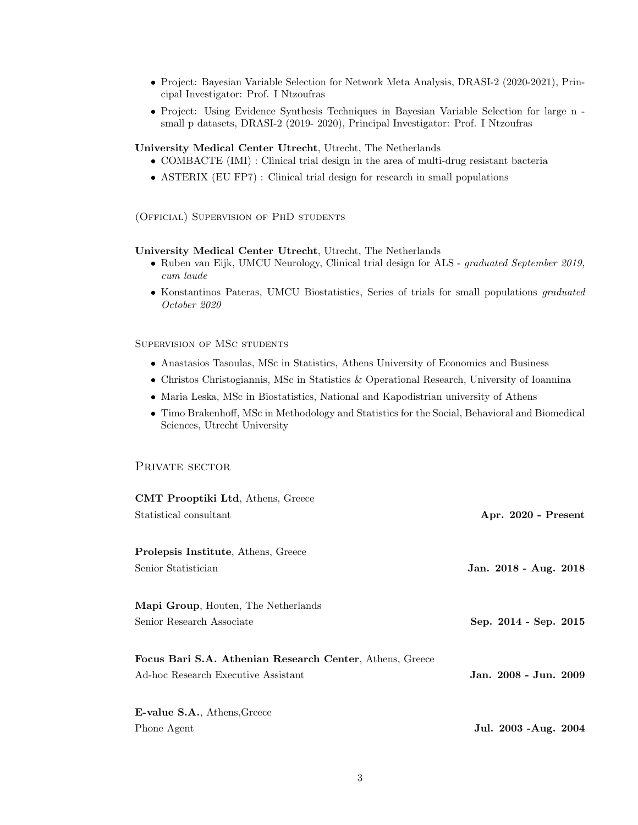- Project: Bayesian Variable Selection for Network Meta Analysis, DRASI-2 (2020-2021), Principal Investigator: Prof. I Ntzoufras
- Project: Using Evidence Synthesis Techniques in Bayesian Variable Selection for large n small p datasets, DRASI-2 (2019- 2020), Principal Investigator: Prof. I Ntzoufras

#### University Medical Center Utrecht, Utrecht, The Netherlands

- COMBACTE (IMI) : Clinical trial design in the area of multi-drug resistant bacteria
- ASTERIX (EU FP7) : Clinical trial design for research in small populations

(Official) Supervision of PhD students

#### University Medical Center Utrecht, Utrecht, The Netherlands

- Ruben van Eijk, UMCU Neurology, Clinical trial design for ALS graduated September 2019, cum laude
- Konstantinos Pateras, UMCU Biostatistics, Series of trials for small populations graduated October 2020

## Supervision of MSc students

- Anastasios Tasoulas, MSc in Statistics, Athens University of Economics and Business
- Christos Christogiannis, MSc in Statistics & Operational Research, University of Ioannina
- Maria Leska, MSc in Biostatistics, National and Kapodistrian university of Athens
- Timo Brakenhoff, MSc in Methodology and Statistics for the Social, Behavioral and Biomedical Sciences, Utrecht University

## PRIVATE SECTOR

| <b>CMT Prooptiki Ltd.</b> Athens, Greece                 |                       |
|----------------------------------------------------------|-----------------------|
| Statistical consultant                                   | Apr. 2020 - Present   |
| <b>Prolepsis Institute, Athens, Greece</b>               |                       |
| Senior Statistician                                      | Jan. 2018 - Aug. 2018 |
| <b>Mapi Group</b> , Houten, The Netherlands              |                       |
| Senior Research Associate                                | Sep. 2014 - Sep. 2015 |
| Focus Bari S.A. Athenian Research Center, Athens, Greece |                       |
| Ad-hoc Research Executive Assistant                      | Jan. 2008 - Jun. 2009 |
| <b>E-value S.A.</b> , Athens, Greece                     |                       |
| Phone Agent                                              | Jul. 2003 - Aug. 2004 |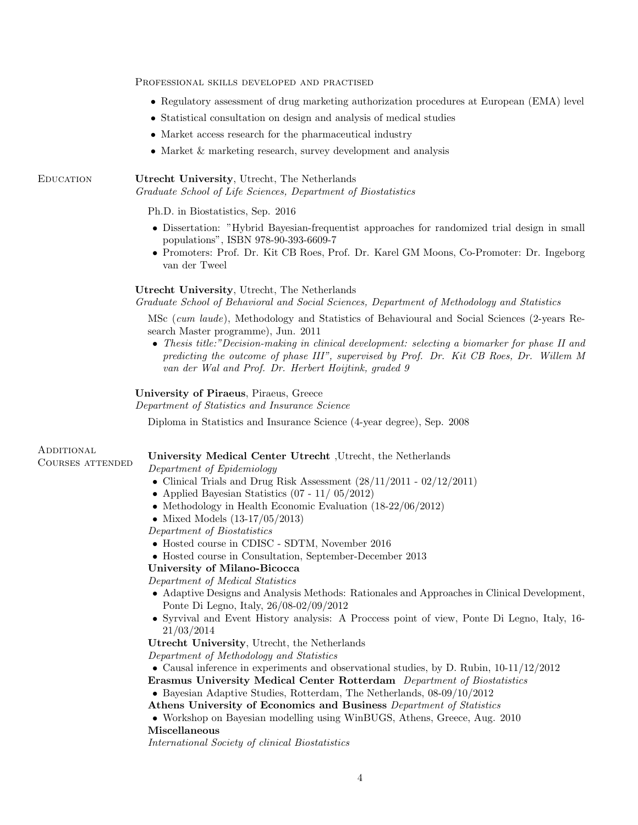Professional skills developed and practised

- Regulatory assessment of drug marketing authorization procedures at European (EMA) level
- Statistical consultation on design and analysis of medical studies
- Market access research for the pharmaceutical industry
- Market & marketing research, survey development and analysis

Education Utrecht University, Utrecht, The Netherlands Graduate School of Life Sciences, Department of Biostatistics

Ph.D. in Biostatistics, Sep. 2016

- Dissertation: "Hybrid Bayesian-frequentist approaches for randomized trial design in small populations", ISBN 978-90-393-6609-7
- Promoters: Prof. Dr. Kit CB Roes, Prof. Dr. Karel GM Moons, Co-Promoter: Dr. Ingeborg van der Tweel

#### Utrecht University, Utrecht, The Netherlands

Graduate School of Behavioral and Social Sciences, Department of Methodology and Statistics

MSc (cum laude), Methodology and Statistics of Behavioural and Social Sciences (2-years Research Master programme), Jun. 2011

• Thesis title:"Decision-making in clinical development: selecting a biomarker for phase II and predicting the outcome of phase III", supervised by Prof. Dr. Kit CB Roes, Dr. Willem M van der Wal and Prof. Dr. Herbert Hoijtink, graded 9

#### University of Piraeus, Piraeus, Greece

Department of Statistics and Insurance Science

Diploma in Statistics and Insurance Science (4-year degree), Sep. 2008

**ADDITIONAL** 

# Courses attended University Medical Center Utrecht ,Utrecht, the Netherlands

Department of Epidemiology

- Clinical Trials and Drug Risk Assessment  $(28/11/2011 02/12/2011)$
- Applied Bayesian Statistics (07 11/ 05/2012)
- Methodology in Health Economic Evaluation (18-22/06/2012)
- Mixed Models (13-17/05/2013)

Department of Biostatistics

- Hosted course in CDISC SDTM, November 2016
- Hosted course in Consultation, September-December 2013

#### University of Milano-Bicocca

Department of Medical Statistics

- Adaptive Designs and Analysis Methods: Rationales and Approaches in Clinical Development, Ponte Di Legno, Italy, 26/08-02/09/2012
- Syrvival and Event History analysis: A Proccess point of view, Ponte Di Legno, Italy, 16- 21/03/2014

Utrecht University, Utrecht, the Netherlands

Department of Methodology and Statistics

• Causal inference in experiments and observational studies, by D. Rubin,  $10-11/12/2012$ 

Erasmus University Medical Center Rotterdam Department of Biostatistics

• Bayesian Adaptive Studies, Rotterdam, The Netherlands, 08-09/10/2012

Athens University of Economics and Business Department of Statistics

• Workshop on Bayesian modelling using WinBUGS, Athens, Greece, Aug. 2010 Miscellaneous

International Society of clinical Biostatistics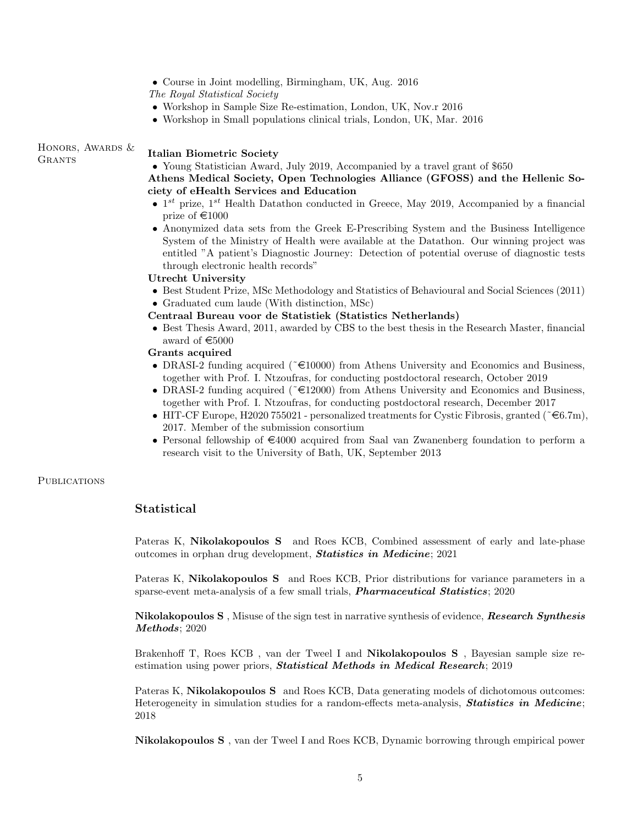|                  | The Royal Statistical Society                                                                                                                                                                                                                                                                                              |
|------------------|----------------------------------------------------------------------------------------------------------------------------------------------------------------------------------------------------------------------------------------------------------------------------------------------------------------------------|
|                  | • Workshop in Sample Size Re-estimation, London, UK, Nov. r 2016                                                                                                                                                                                                                                                           |
|                  | • Workshop in Small populations clinical trials, London, UK, Mar. 2016                                                                                                                                                                                                                                                     |
| HONORS, AWARDS & | <b>Italian Biometric Society</b>                                                                                                                                                                                                                                                                                           |
| GRANTS           | • Young Statistician Award, July 2019, Accompanied by a travel grant of \$650                                                                                                                                                                                                                                              |
|                  | Athens Medical Society, Open Technologies Alliance (GFOSS) and the Hellenic So-                                                                                                                                                                                                                                            |
|                  | ciety of eHealth Services and Education                                                                                                                                                                                                                                                                                    |
|                  | • $1^{st}$ prize, $1^{st}$ Health Datathon conducted in Greece, May 2019, Accompanied by a financial<br>prize of €1000                                                                                                                                                                                                     |
|                  | • Anonymized data sets from the Greek E-Prescribing System and the Business Intelligence<br>System of the Ministry of Health were available at the Datathon. Our winning project was<br>entitled "A patient's Diagnostic Journey: Detection of potential overuse of diagnostic tests<br>through electronic health records" |
|                  | <b>Utrecht University</b>                                                                                                                                                                                                                                                                                                  |
|                  | • Best Student Prize, MSc Methodology and Statistics of Behavioural and Social Sciences (2011)<br>• Graduated cum laude (With distinction, MSc)                                                                                                                                                                            |
|                  | Centraal Bureau voor de Statistiek (Statistics Netherlands)                                                                                                                                                                                                                                                                |
|                  | • Best Thesis Award, 2011, awarded by CBS to the best thesis in the Research Master, financial<br>award of $\epsilon$ 5000                                                                                                                                                                                                 |
|                  | Grants acquired                                                                                                                                                                                                                                                                                                            |
|                  | • DRASI-2 funding acquired ( $\epsilon$ 10000) from Athens University and Economics and Business,<br>together with Prof. I. Ntzoufras, for conducting postdoctoral research, October 2019                                                                                                                                  |

• Course in Joint modelling, Birmingham, UK, Aug. 2016

- DRASI-2 funding acquired ( $\epsilon$ 12000) from Athens University and Economics and Business, together with Prof. I. Ntzoufras, for conducting postdoctoral research, December 2017
- HIT-CF Europe, H2020 755021 personalized treatments for Cystic Fibrosis, granted ( $\epsilon \in 6.7m$ ), 2017. Member of the submission consortium
- Personal fellowship of  $\epsilon$ 4000 acquired from Saal van Zwanenberg foundation to perform a research visit to the University of Bath, UK, September 2013

#### **PUBLICATIONS**

## Statistical

Pateras K, Nikolakopoulos S and Roes KCB, Combined assessment of early and late-phase outcomes in orphan drug development, Statistics in Medicine; 2021

Pateras K, Nikolakopoulos S and Roes KCB, Prior distributions for variance parameters in a sparse-event meta-analysis of a few small trials, **Pharmaceutical Statistics**; 2020

Nikolakopoulos S , Misuse of the sign test in narrative synthesis of evidence, Research Synthesis Methods; 2020

Brakenhoff T, Roes KCB , van der Tweel I and Nikolakopoulos S , Bayesian sample size reestimation using power priors, **Statistical Methods in Medical Research**; 2019

Pateras K, Nikolakopoulos S and Roes KCB, Data generating models of dichotomous outcomes: Heterogeneity in simulation studies for a random-effects meta-analysis, **Statistics in Medicine**; 2018

Nikolakopoulos S , van der Tweel I and Roes KCB, Dynamic borrowing through empirical power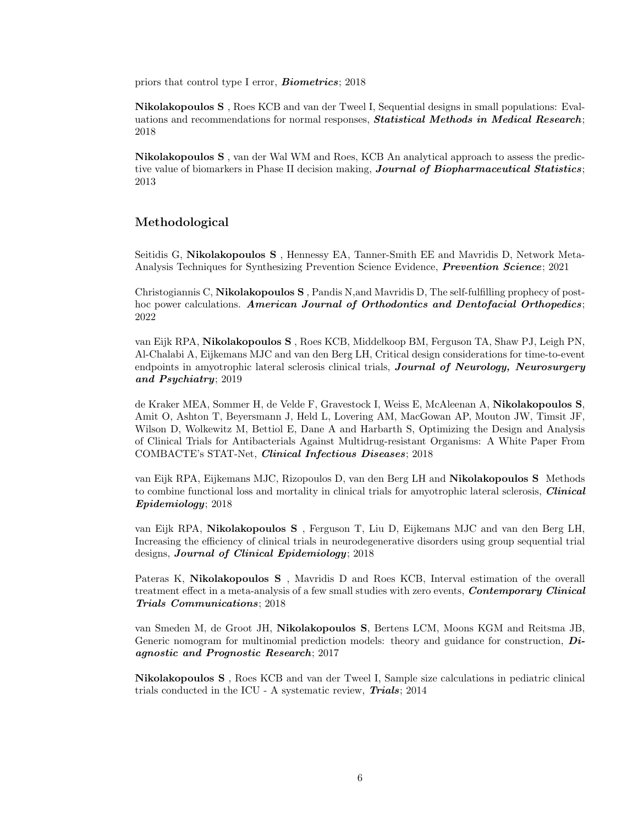priors that control type I error, **Biometrics**; 2018

Nikolakopoulos S , Roes KCB and van der Tweel I, Sequential designs in small populations: Evaluations and recommendations for normal responses, **Statistical Methods in Medical Research**; 2018

Nikolakopoulos S , van der Wal WM and Roes, KCB An analytical approach to assess the predictive value of biomarkers in Phase II decision making, Journal of Biopharmaceutical Statistics; 2013

## Methodological

Seitidis G, Nikolakopoulos S , Hennessy EA, Tanner-Smith EE and Mavridis D, Network Meta-Analysis Techniques for Synthesizing Prevention Science Evidence, Prevention Science; 2021

Christogiannis C, Nikolakopoulos S , Pandis N,and Mavridis D, The self-fulfilling prophecy of posthoc power calculations. American Journal of Orthodontics and Dentofacial Orthopedics; 2022

van Eijk RPA, Nikolakopoulos S , Roes KCB, Middelkoop BM, Ferguson TA, Shaw PJ, Leigh PN, Al-Chalabi A, Eijkemans MJC and van den Berg LH, Critical design considerations for time-to-event endpoints in amyotrophic lateral sclerosis clinical trials, Journal of Neurology, Neurosurgery and Psychiatry; 2019

de Kraker MEA, Sommer H, de Velde F, Gravestock I, Weiss E, McAleenan A, Nikolakopoulos S, Amit O, Ashton T, Beyersmann J, Held L, Lovering AM, MacGowan AP, Mouton JW, Timsit JF, Wilson D, Wolkewitz M, Bettiol E, Dane A and Harbarth S, Optimizing the Design and Analysis of Clinical Trials for Antibacterials Against Multidrug-resistant Organisms: A White Paper From COMBACTE's STAT-Net, Clinical Infectious Diseases; 2018

van Eijk RPA, Eijkemans MJC, Rizopoulos D, van den Berg LH and Nikolakopoulos S Methods to combine functional loss and mortality in clinical trials for amyotrophic lateral sclerosis, *Clinical* Epidemiology; 2018

van Eijk RPA, Nikolakopoulos S , Ferguson T, Liu D, Eijkemans MJC and van den Berg LH, Increasing the efficiency of clinical trials in neurodegenerative disorders using group sequential trial designs, Journal of Clinical Epidemiology; 2018

Pateras K, Nikolakopoulos S , Mavridis D and Roes KCB, Interval estimation of the overall treatment effect in a meta-analysis of a few small studies with zero events, **Contemporary Clinical** Trials Communications; 2018

van Smeden M, de Groot JH, Nikolakopoulos S, Bertens LCM, Moons KGM and Reitsma JB, Generic nomogram for multinomial prediction models: theory and guidance for construction,  $Di$ agnostic and Prognostic Research; 2017

Nikolakopoulos S , Roes KCB and van der Tweel I, Sample size calculations in pediatric clinical trials conducted in the ICU - A systematic review, Trials; 2014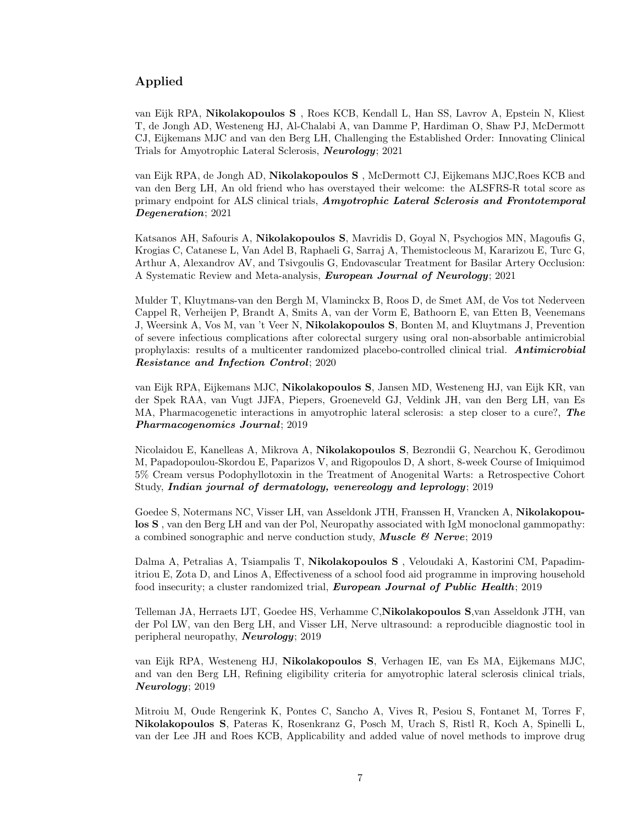# Applied

van Eijk RPA, Nikolakopoulos S , Roes KCB, Kendall L, Han SS, Lavrov A, Epstein N, Kliest T, de Jongh AD, Westeneng HJ, Al-Chalabi A, van Damme P, Hardiman O, Shaw PJ, McDermott CJ, Eijkemans MJC and van den Berg LH, Challenging the Established Order: Innovating Clinical Trials for Amyotrophic Lateral Sclerosis, Neurology; 2021

van Eijk RPA, de Jongh AD, Nikolakopoulos S , McDermott CJ, Eijkemans MJC,Roes KCB and van den Berg LH, An old friend who has overstayed their welcome: the ALSFRS-R total score as primary endpoint for ALS clinical trials, Amyotrophic Lateral Sclerosis and Frontotemporal Degeneration; 2021

Katsanos AH, Safouris A, Nikolakopoulos S, Mavridis D, Goyal N, Psychogios MN, Magoufis G, Krogias C, Catanese L, Van Adel B, Raphaeli G, Sarraj A, Themistocleous M, Kararizou E, Turc G, Arthur A, Alexandrov AV, and Tsivgoulis G, Endovascular Treatment for Basilar Artery Occlusion: A Systematic Review and Meta-analysis, European Journal of Neurology; 2021

Mulder T, Kluytmans-van den Bergh M, Vlaminckx B, Roos D, de Smet AM, de Vos tot Nederveen Cappel R, Verheijen P, Brandt A, Smits A, van der Vorm E, Bathoorn E, van Etten B, Veenemans J, Weersink A, Vos M, van 't Veer N, Nikolakopoulos S, Bonten M, and Kluytmans J, Prevention of severe infectious complications after colorectal surgery using oral non-absorbable antimicrobial prophylaxis: results of a multicenter randomized placebo-controlled clinical trial. Antimicrobial Resistance and Infection Control; 2020

van Eijk RPA, Eijkemans MJC, Nikolakopoulos S, Jansen MD, Westeneng HJ, van Eijk KR, van der Spek RAA, van Vugt JJFA, Piepers, Groeneveld GJ, Veldink JH, van den Berg LH, van Es MA, Pharmacogenetic interactions in amyotrophic lateral sclerosis: a step closer to a cure?, The Pharmacogenomics Journal; 2019

Nicolaidou E, Kanelleas A, Mikrova A, Nikolakopoulos S, Bezrondii G, Nearchou K, Gerodimou M, Papadopoulou-Skordou E, Paparizos V, and Rigopoulos D, A short, 8-week Course of Imiquimod 5% Cream versus Podophyllotoxin in the Treatment of Anogenital Warts: a Retrospective Cohort Study, Indian journal of dermatology, venereology and leprology; 2019

Goedee S, Notermans NC, Visser LH, van Asseldonk JTH, Franssen H, Vrancken A, Nikolakopoulos S , van den Berg LH and van der Pol, Neuropathy associated with IgM monoclonal gammopathy: a combined sonographic and nerve conduction study, **Muscle & Nerve**; 2019

Dalma A, Petralias A, Tsiampalis T, Nikolakopoulos S , Veloudaki A, Kastorini CM, Papadimitriou E, Zota D, and Linos A, Effectiveness of a school food aid programme in improving household food insecurity; a cluster randomized trial, **European Journal of Public Health**; 2019

Telleman JA, Herraets IJT, Goedee HS, Verhamme C,Nikolakopoulos S,van Asseldonk JTH, van der Pol LW, van den Berg LH, and Visser LH, Nerve ultrasound: a reproducible diagnostic tool in peripheral neuropathy, Neurology; 2019

van Eijk RPA, Westeneng HJ, Nikolakopoulos S, Verhagen IE, van Es MA, Eijkemans MJC, and van den Berg LH, Refining eligibility criteria for amyotrophic lateral sclerosis clinical trials, Neurology; 2019

Mitroiu M, Oude Rengerink K, Pontes C, Sancho A, Vives R, Pesiou S, Fontanet M, Torres F, Nikolakopoulos S, Pateras K, Rosenkranz G, Posch M, Urach S, Ristl R, Koch A, Spinelli L, van der Lee JH and Roes KCB, Applicability and added value of novel methods to improve drug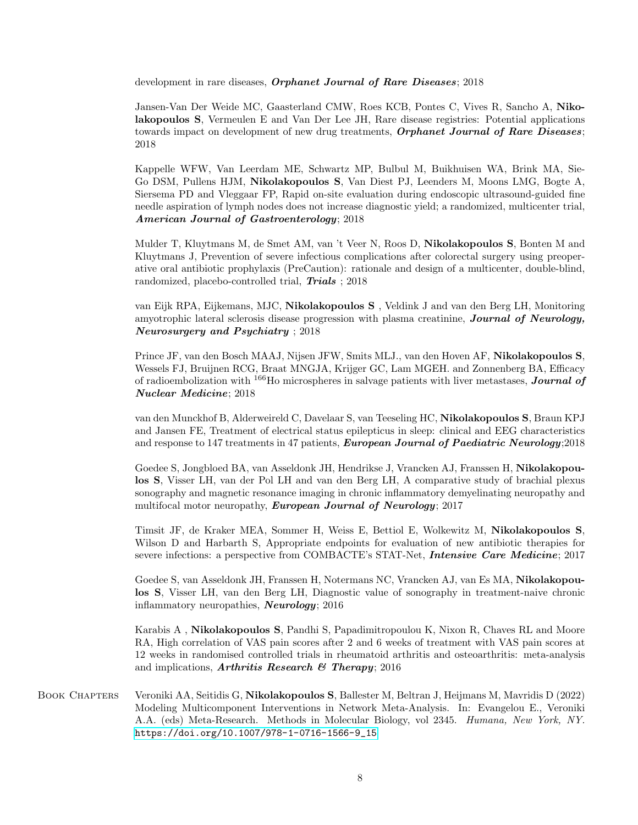development in rare diseases, *Orphanet Journal of Rare Diseases*; 2018

Jansen-Van Der Weide MC, Gaasterland CMW, Roes KCB, Pontes C, Vives R, Sancho A, Nikolakopoulos S, Vermeulen E and Van Der Lee JH, Rare disease registries: Potential applications towards impact on development of new drug treatments, *Orphanet Journal of Rare Diseases*; 2018

Kappelle WFW, Van Leerdam ME, Schwartz MP, Bulbul M, Buikhuisen WA, Brink MA, Sie-Go DSM, Pullens HJM, Nikolakopoulos S, Van Diest PJ, Leenders M, Moons LMG, Bogte A, Siersema PD and Vleggaar FP, Rapid on-site evaluation during endoscopic ultrasound-guided fine needle aspiration of lymph nodes does not increase diagnostic yield; a randomized, multicenter trial, American Journal of Gastroenterology; 2018

Mulder T, Kluytmans M, de Smet AM, van 't Veer N, Roos D, Nikolakopoulos S, Bonten M and Kluytmans J, Prevention of severe infectious complications after colorectal surgery using preoperative oral antibiotic prophylaxis (PreCaution): rationale and design of a multicenter, double-blind, randomized, placebo-controlled trial, Trials ; 2018

van Eijk RPA, Eijkemans, MJC, Nikolakopoulos S , Veldink J and van den Berg LH, Monitoring amyotrophic lateral sclerosis disease progression with plasma creatinine, **Journal of Neurology**, Neurosurgery and Psychiatry ; 2018

Prince JF, van den Bosch MAAJ, Nijsen JFW, Smits MLJ., van den Hoven AF, Nikolakopoulos S, Wessels FJ, Bruijnen RCG, Braat MNGJA, Krijger GC, Lam MGEH. and Zonnenberg BA, Efficacy of radioembolization with  $166H$ o microspheres in salvage patients with liver metastases, **Journal of** Nuclear Medicine; 2018

van den Munckhof B, Alderweireld C, Davelaar S, van Teeseling HC, Nikolakopoulos S, Braun KPJ and Jansen FE, Treatment of electrical status epilepticus in sleep: clinical and EEG characteristics and response to 147 treatments in 47 patients, *European Journal of Paediatric Neurology*;2018

Goedee S, Jongbloed BA, van Asseldonk JH, Hendrikse J, Vrancken AJ, Franssen H, Nikolakopoulos S, Visser LH, van der Pol LH and van den Berg LH, A comparative study of brachial plexus sonography and magnetic resonance imaging in chronic inflammatory demyelinating neuropathy and multifocal motor neuropathy, *European Journal of Neurology*; 2017

Timsit JF, de Kraker MEA, Sommer H, Weiss E, Bettiol E, Wolkewitz M, Nikolakopoulos S, Wilson D and Harbarth S, Appropriate endpoints for evaluation of new antibiotic therapies for severe infections: a perspective from COMBACTE's STAT-Net, Intensive Care Medicine; 2017

Goedee S, van Asseldonk JH, Franssen H, Notermans NC, Vrancken AJ, van Es MA, Nikolakopoulos S, Visser LH, van den Berg LH, Diagnostic value of sonography in treatment-naive chronic inflammatory neuropathies, Neurology; 2016

Karabis A , Nikolakopoulos S, Pandhi S, Papadimitropoulou K, Nixon R, Chaves RL and Moore RA, High correlation of VAS pain scores after 2 and 6 weeks of treatment with VAS pain scores at 12 weeks in randomised controlled trials in rheumatoid arthritis and osteoarthritis: meta-analysis and implications, Arthritis Research  $\mathcal C$  Therapy; 2016

BOOK CHAPTERS Veroniki AA, Seitidis G, **Nikolakopoulos S**, Ballester M, Beltran J, Heijmans M, Mavridis D (2022) Modeling Multicomponent Interventions in Network Meta-Analysis. In: Evangelou E., Veroniki A.A. (eds) Meta-Research. Methods in Molecular Biology, vol 2345. Humana, New York, NY. [https://doi.org/10.1007/978-1-0716-1566-9\\_15](https://doi.org/10.1007/978-1-0716-1566-9_15)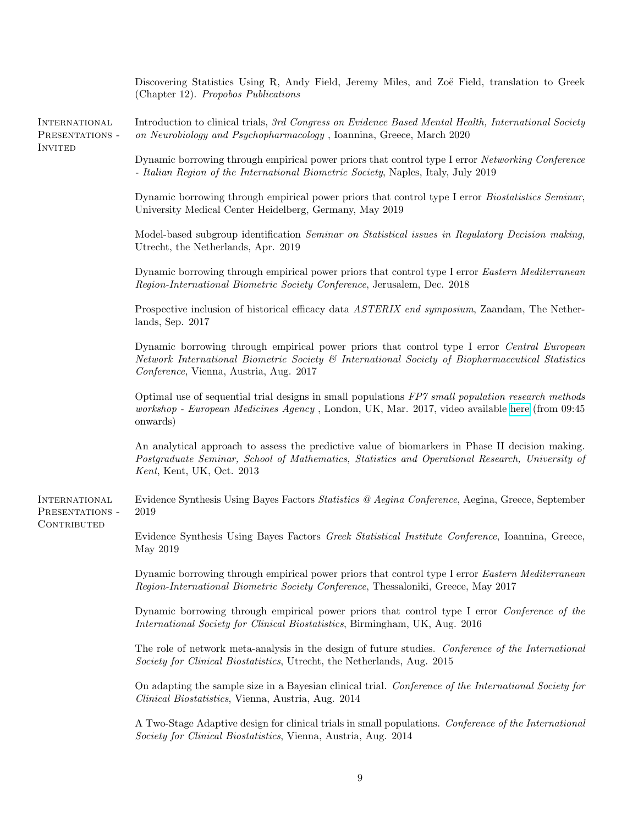| Discovering Statistics Using R, Andy Field, Jeremy Miles, and Zoë Field, translation to Greek<br>(Chapter 12). Propobos Publications                                                                                                     |
|------------------------------------------------------------------------------------------------------------------------------------------------------------------------------------------------------------------------------------------|
| Introduction to clinical trials, 3rd Congress on Evidence Based Mental Health, International Society<br>on Neurobiology and Psychopharmacology, Ioannina, Greece, March 2020                                                             |
| Dynamic borrowing through empirical power priors that control type I error Networking Conference<br>- Italian Region of the International Biometric Society, Naples, Italy, July 2019                                                    |
| Dynamic borrowing through empirical power priors that control type I error Biostatistics Seminar,<br>University Medical Center Heidelberg, Germany, May 2019                                                                             |
| Model-based subgroup identification Seminar on Statistical issues in Regulatory Decision making,<br>Utrecht, the Netherlands, Apr. 2019                                                                                                  |
| Dynamic borrowing through empirical power priors that control type I error Eastern Mediterranean<br>Region-International Biometric Society Conference, Jerusalem, Dec. 2018                                                              |
| Prospective inclusion of historical efficacy data ASTERIX end symposium, Zaandam, The Nether-<br>lands, Sep. 2017                                                                                                                        |
| Dynamic borrowing through empirical power priors that control type I error Central European<br>Network International Biometric Society & International Society of Biopharmaceutical Statistics<br>Conference, Vienna, Austria, Aug. 2017 |
| Optimal use of sequential trial designs in small populations FP7 small population research methods<br>workshop - European Medicines Agency, London, UK, Mar. 2017, video available here (from 09:45<br>onwards)                          |
| An analytical approach to assess the predictive value of biomarkers in Phase II decision making.<br>Postgraduate Seminar, School of Mathematics, Statistics and Operational Research, University of<br>Kent, Kent, UK, Oct. 2013         |
| Evidence Synthesis Using Bayes Factors Statistics @ Aegina Conference, Aegina, Greece, September<br>2019                                                                                                                                 |
| Evidence Synthesis Using Bayes Factors Greek Statistical Institute Conference, Ioannina, Greece,<br>May 2019                                                                                                                             |
| Dynamic borrowing through empirical power priors that control type I error Eastern Mediterranean<br>Region-International Biometric Society Conference, Thessaloniki, Greece, May 2017                                                    |
| Dynamic borrowing through empirical power priors that control type I error Conference of the<br>International Society for Clinical Biostatistics, Birmingham, UK, Aug. 2016                                                              |
| The role of network meta-analysis in the design of future studies. Conference of the International<br>Society for Clinical Biostatistics, Utrecht, the Netherlands, Aug. 2015                                                            |
| On adapting the sample size in a Bayesian clinical trial. Conference of the International Society for<br>Clinical Biostatistics, Vienna, Austria, Aug. 2014                                                                              |
| A Two-Stage Adaptive design for clinical trials in small populations. Conference of the International<br>Society for Clinical Biostatistics, Vienna, Austria, Aug. 2014                                                                  |
|                                                                                                                                                                                                                                          |